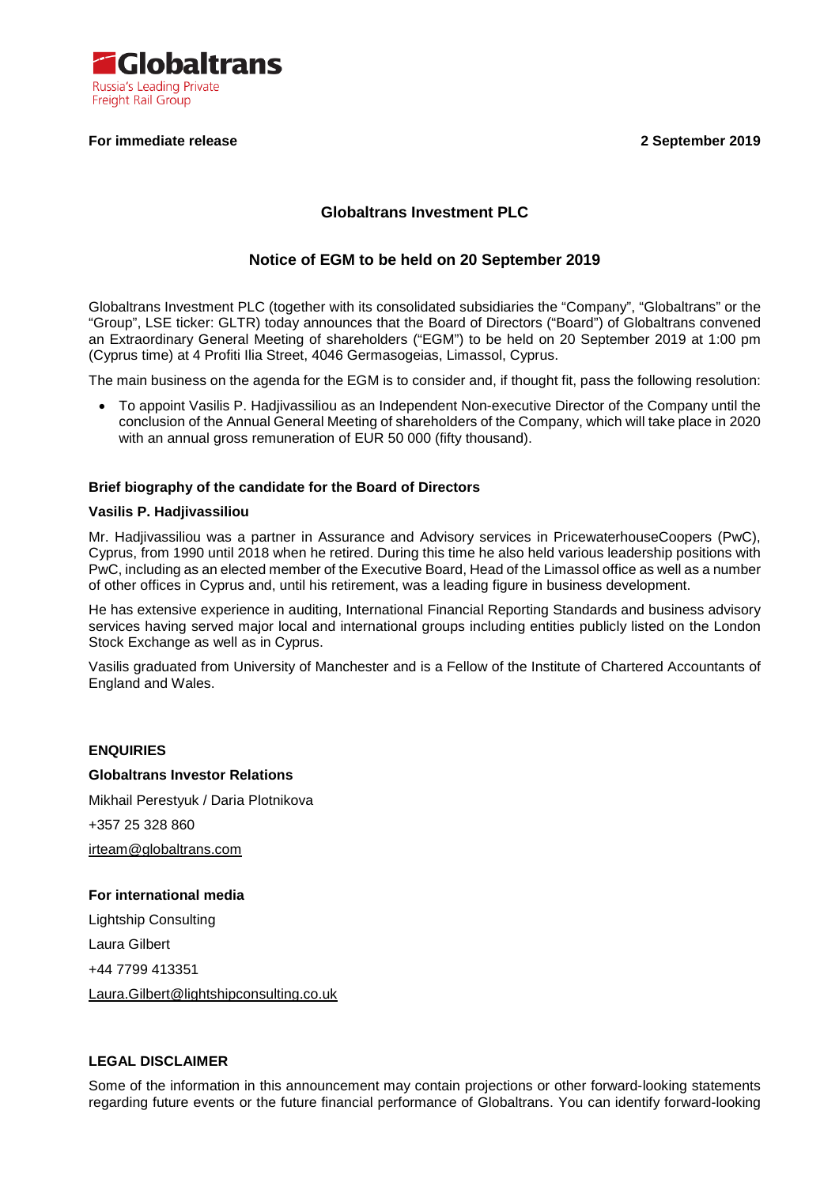

## **For immediate release 2 September 2019**

# **Globaltrans Investment PLC**

# **Notice of EGM to be held on 20 September 2019**

Globaltrans Investment PLC (together with its consolidated subsidiaries the "Company", "Globaltrans" or the "Group", LSE ticker: GLTR) today announces that the Board of Directors ("Board") of Globaltrans convened an Extraordinary General Meeting of shareholders ("EGM") to be held on 20 September 2019 at 1:00 pm (Cyprus time) at 4 Profiti Ilia Street, 4046 Germasogeias, Limassol, Cyprus.

The main business on the agenda for the EGM is to consider and, if thought fit, pass the following resolution:

• To appoint Vasilis P. Hadjivassiliou as an Independent Non-executive Director of the Company until the conclusion of the Annual General Meeting of shareholders of the Company, which will take place in 2020 with an annual gross remuneration of EUR 50 000 (fifty thousand).

## **Brief biography of the candidate for the Board of Directors**

#### **Vasilis P. Hadjivassiliou**

Mr. Hadjivassiliou was a partner in Assurance and Advisory services in PricewaterhouseCoopers (PwC), Cyprus, from 1990 until 2018 when he retired. During this time he also held various leadership positions with PwC, including as an elected member of the Executive Board, Head of the Limassol office as well as a number of other offices in Cyprus and, until his retirement, was a leading figure in business development.

He has extensive experience in auditing, International Financial Reporting Standards and business advisory services having served major local and international groups including entities publicly listed on the London Stock Exchange as well as in Cyprus.

Vasilis graduated from University of Manchester and is a Fellow of the Institute of Chartered Accountants of England and Wales.

## **ENQUIRIES**

## **Globaltrans Investor Relations**

Mikhail Perestyuk / Daria Plotnikova +357 25 328 860 irteam@globaltrans.com

## **For international media**

Lightship Consulting Laura Gilbert +44 7799 413351 Laura.Gilbert@lightshipconsulting.co.uk

## **LEGAL DISCLAIMER**

Some of the information in this announcement may contain projections or other forward-looking statements regarding future events or the future financial performance of Globaltrans. You can identify forward-looking